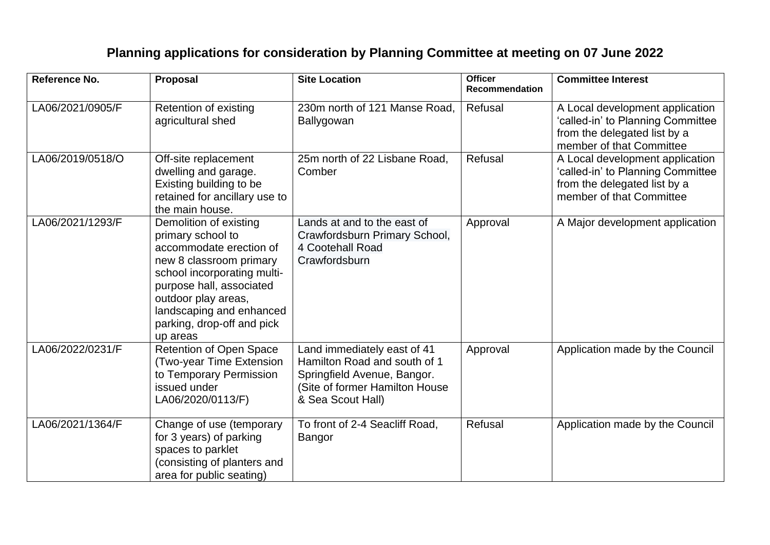## **Planning applications for consideration by Planning Committee at meeting on 07 June 2022**

| <b>Reference No.</b> | <b>Proposal</b>                                                                                                                                                                                                                                           | <b>Site Location</b>                                                                                                                               | <b>Officer</b><br>Recommendation | <b>Committee Interest</b>                                                                                                        |
|----------------------|-----------------------------------------------------------------------------------------------------------------------------------------------------------------------------------------------------------------------------------------------------------|----------------------------------------------------------------------------------------------------------------------------------------------------|----------------------------------|----------------------------------------------------------------------------------------------------------------------------------|
| LA06/2021/0905/F     | Retention of existing<br>agricultural shed                                                                                                                                                                                                                | 230m north of 121 Manse Road,<br>Ballygowan                                                                                                        | Refusal                          | A Local development application<br>'called-in' to Planning Committee<br>from the delegated list by a<br>member of that Committee |
| LA06/2019/0518/O     | Off-site replacement<br>dwelling and garage.<br>Existing building to be<br>retained for ancillary use to<br>the main house.                                                                                                                               | 25m north of 22 Lisbane Road,<br>Comber                                                                                                            | Refusal                          | A Local development application<br>'called-in' to Planning Committee<br>from the delegated list by a<br>member of that Committee |
| LA06/2021/1293/F     | Demolition of existing<br>primary school to<br>accommodate erection of<br>new 8 classroom primary<br>school incorporating multi-<br>purpose hall, associated<br>outdoor play areas,<br>landscaping and enhanced<br>parking, drop-off and pick<br>up areas | Lands at and to the east of<br>Crawfordsburn Primary School,<br>4 Cootehall Road<br>Crawfordsburn                                                  | Approval                         | A Major development application                                                                                                  |
| LA06/2022/0231/F     | <b>Retention of Open Space</b><br>(Two-year Time Extension<br>to Temporary Permission<br>issued under<br>LA06/2020/0113/F)                                                                                                                                | Land immediately east of 41<br>Hamilton Road and south of 1<br>Springfield Avenue, Bangor.<br>(Site of former Hamilton House)<br>& Sea Scout Hall) | Approval                         | Application made by the Council                                                                                                  |
| LA06/2021/1364/F     | Change of use (temporary<br>for 3 years) of parking<br>spaces to parklet<br>(consisting of planters and<br>area for public seating)                                                                                                                       | To front of 2-4 Seacliff Road,<br>Bangor                                                                                                           | Refusal                          | Application made by the Council                                                                                                  |